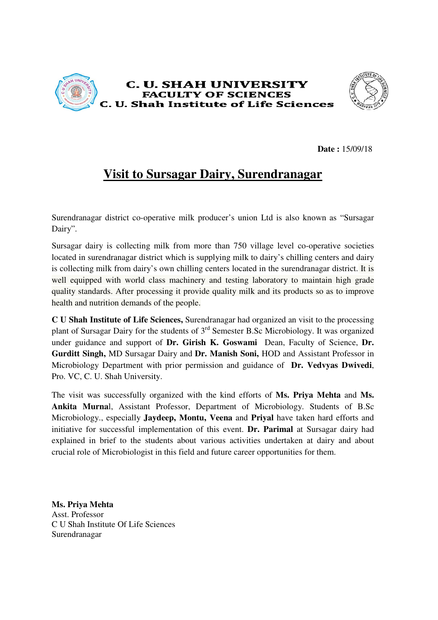



**Date :** 15/09/18

## **Visit to Sursagar Dairy, Surendranagar**

Surendranagar district co-operative milk producer's union Ltd is also known as "Sursagar Dairy". Surendranagar district co-operative milk producer's union Ltd is also known as "Sursagar<br>Dairy".<br>Sursagar dairy is collecting milk from more than 750 village level co-operative societies

located in surendranagar district which is supplying milk to dairy's chilling centers and dairy is collecting milk from dairy's own chilling centers located in the surendranagar district. It is well equipped with world class machinery and testing laboratory to maintain high grade quality standards. After processing it provide quality milk and its products so as to improve health and nutrition demands of the people.

**C U Shah Institute of Life Sciences Sciences,** Surendranagar had organized an visit to the processing quality standards. After processing it provide quality milk and its products so as to improve<br>health and nutrition demands of the people.<br>**C U Shah Institute of Life Sciences**, Surendranagar had organized an visit to the under guidance and support of **Dr. Girish K. Goswami** Dean, Faculty of Science, **Dr.**  Gurditt Singh, MD Sursagar Dairy and Dr. Manish Soni, HOD and Assistant Professor in<br>Microbiology Department with prior permission and guidance of Dr. Vedvyas Dwivedi, Microbiology Department with prior permission and guidance of **Dr. Vedvyas Dwivedi** Pro. VC, C. U. Shah University.

The visit was successfully organized with the kind efforts of Ms. Priya Mehta and Ms. Ankita Murnal, Assistant Professor, Department of Microbiology. Students of B.Sc Microbiology., especially **Jaydeep, Montu, Veena** and **Priyal** have taken hard efforts and initiative for successful implementation of this event. Dr. Parimal at Sursagar dairy had explained in brief to the students about various activities undertaken at dairy and about crucial role of Microbiologist in this field and future career opportunities for them.

**Ms. Priya Mehta**  Asst. Professor C U Shah Institute Of Life Science Surendranagar explained in brief to the students<br>crucial role of Microbiologist in this<br>**Ms. Priya Mehta**<br>Asst. Professor<br>C U Shah Institute Of Life Sciences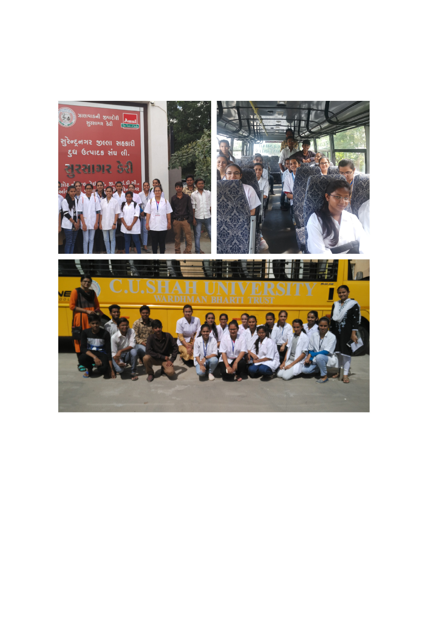